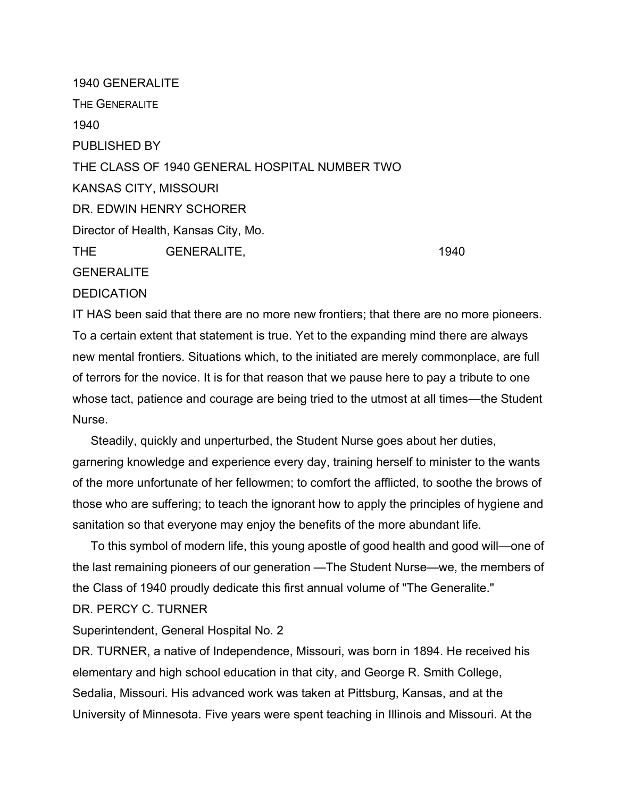1940 GENERALITE THE GENERALITE 1940 PUBLISHED BY THE CLASS OF 1940 GENERAL HOSPITAL NUMBER TWO KANSAS CITY, MISSOURI DR. EDWIN HENRY SCHORER Director of Health, Kansas City, Mo. THE GENERALITE, 1940 **GENERALITE DEDICATION** 

IT HAS been said that there are no more new frontiers; that there are no more pioneers. To a certain extent that statement is true. Yet to the expanding mind there are always new mental frontiers. Situations which, to the initiated are merely commonplace, are full of terrors for the novice. It is for that reason that we pause here to pay a tribute to one whose tact, patience and courage are being tried to the utmost at all times—the Student Nurse.

Steadily, quickly and unperturbed, the Student Nurse goes about her duties, garnering knowledge and experience every day, training herself to minister to the wants of the more unfortunate of her fellowmen; to comfort the afflicted, to soothe the brows of those who are suffering; to teach the ignorant how to apply the principles of hygiene and sanitation so that everyone may enjoy the benefits of the more abundant life.

To this symbol of modern life, this young apostle of good health and good will—one of the last remaining pioneers of our generation —The Student Nurse—we, the members of the Class of 1940 proudly dedicate this first annual volume of "The Generalite." DR. PERCY C. TURNER

Superintendent, General Hospital No. 2

DR. TURNER, a native of Independence, Missouri, was born in 1894. He received his elementary and high school education in that city, and George R. Smith College, Sedalia, Missouri. His advanced work was taken at Pittsburg, Kansas, and at the University of Minnesota. Five years were spent teaching in Illinois and Missouri. At the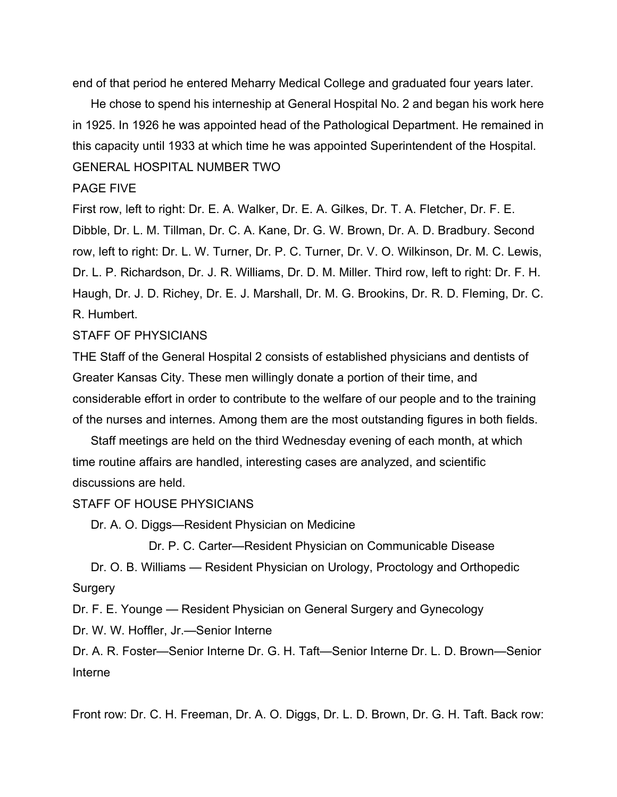end of that period he entered Meharry Medical College and graduated four years later.

He chose to spend his interneship at General Hospital No. 2 and began his work here in 1925. In 1926 he was appointed head of the Pathological Department. He remained in this capacity until 1933 at which time he was appointed Superintendent of the Hospital. GENERAL HOSPITAL NUMBER TWO

### PAGE FIVE

First row, left to right: Dr. E. A. Walker, Dr. E. A. Gilkes, Dr. T. A. Fletcher, Dr. F. E. Dibble, Dr. L. M. Tillman, Dr. C. A. Kane, Dr. G. W. Brown, Dr. A. D. Bradbury. Second row, left to right: Dr. L. W. Turner, Dr. P. C. Turner, Dr. V. O. Wilkinson, Dr. M. C. Lewis, Dr. L. P. Richardson, Dr. J. R. Williams, Dr. D. M. Miller. Third row, left to right: Dr. F. H. Haugh, Dr. J. D. Richey, Dr. E. J. Marshall, Dr. M. G. Brookins, Dr. R. D. Fleming, Dr. C. R. Humbert.

# STAFF OF PHYSICIANS

THE Staff of the General Hospital 2 consists of established physicians and dentists of Greater Kansas City. These men willingly donate a portion of their time, and considerable effort in order to contribute to the welfare of our people and to the training of the nurses and internes. Among them are the most outstanding figures in both fields.

Staff meetings are held on the third Wednesday evening of each month, at which time routine affairs are handled, interesting cases are analyzed, and scientific discussions are held.

### STAFF OF HOUSE PHYSICIANS

Dr. A. O. Diggs—Resident Physician on Medicine

Dr. P. C. Carter—Resident Physician on Communicable Disease

Dr. O. B. Williams — Resident Physician on Urology, Proctology and Orthopedic Surgery

Dr. F. E. Younge — Resident Physician on General Surgery and Gynecology

Dr. W. W. Hoffler, Jr.—Senior Interne

Dr. A. R. Foster—Senior Interne Dr. G. H. Taft—Senior Interne Dr. L. D. Brown—Senior Interne

Front row: Dr. C. H. Freeman, Dr. A. O. Diggs, Dr. L. D. Brown, Dr. G. H. Taft. Back row: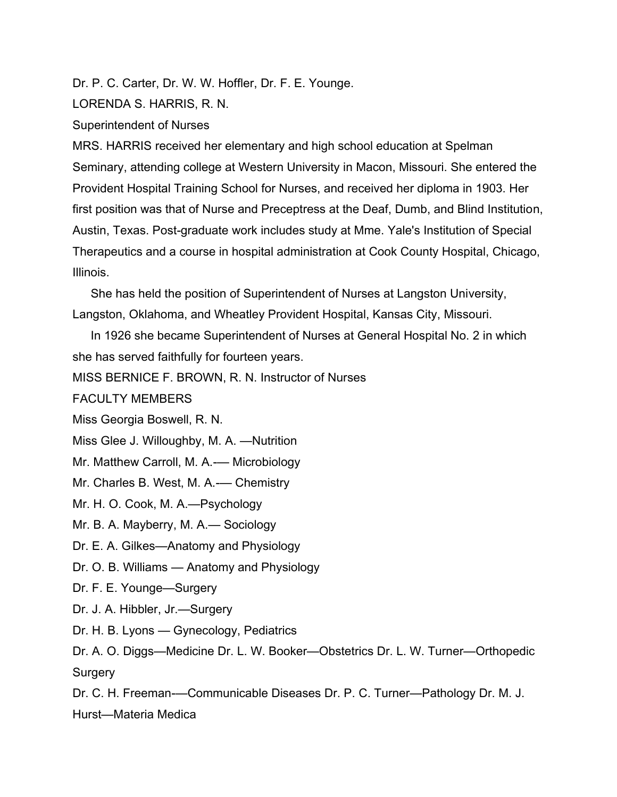Dr. P. C. Carter, Dr. W. W. Hoffler, Dr. F. E. Younge.

LORENDA S. HARRIS, R. N.

Superintendent of Nurses

MRS. HARRIS received her elementary and high school education at Spelman Seminary, attending college at Western University in Macon, Missouri. She entered the Provident Hospital Training School for Nurses, and received her diploma in 1903. Her first position was that of Nurse and Preceptress at the Deaf, Dumb, and Blind Institution, Austin, Texas. Post-graduate work includes study at Mme. Yale's Institution of Special Therapeutics and a course in hospital administration at Cook County Hospital, Chicago, Illinois.

She has held the position of Superintendent of Nurses at Langston University, Langston, Oklahoma, and Wheatley Provident Hospital, Kansas City, Missouri.

In 1926 she became Superintendent of Nurses at General Hospital No. 2 in which she has served faithfully for fourteen years.

MISS BERNICE F. BROWN, R. N. Instructor of Nurses

FACULTY MEMBERS

Miss Georgia Boswell, R. N.

Miss Glee J. Willoughby, M. A. —Nutrition

Mr. Matthew Carroll, M. A.-— Microbiology

Mr. Charles B. West, M. A.— Chemistry

Mr. H. O. Cook, M. A.—Psychology

Mr. B. A. Mayberry, M. A.— Sociology

Dr. E. A. Gilkes—Anatomy and Physiology

Dr. O. B. Williams — Anatomy and Physiology

Dr. F. E. Younge—Surgery

Dr. J. A. Hibbler, Jr.—Surgery

Dr. H. B. Lyons — Gynecology, Pediatrics

Dr. A. O. Diggs—Medicine Dr. L. W. Booker—Obstetrics Dr. L. W. Turner—Orthopedic **Surgery** 

Dr. C. H. Freeman-—Communicable Diseases Dr. P. C. Turner—Pathology Dr. M. J. Hurst—Materia Medica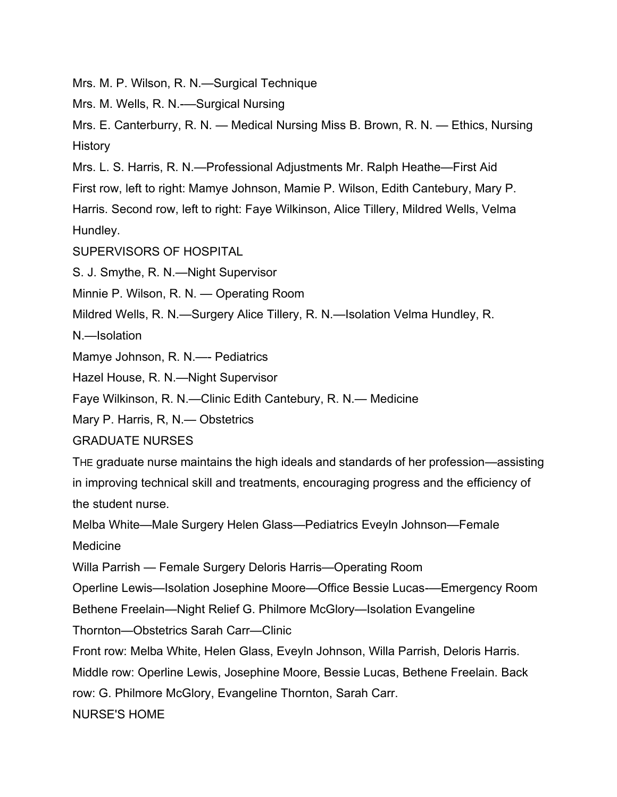Mrs. M. P. Wilson, R. N.—Surgical Technique

Mrs. M. Wells, R. N.-—Surgical Nursing

Mrs. E. Canterburry, R. N. — Medical Nursing Miss B. Brown, R. N. — Ethics, Nursing History

Mrs. L. S. Harris, R. N.—Professional Adjustments Mr. Ralph Heathe—First Aid

First row, left to right: Mamye Johnson, Mamie P. Wilson, Edith Cantebury, Mary P.

Harris. Second row, left to right: Faye Wilkinson, Alice Tillery, Mildred Wells, Velma Hundley.

SUPERVISORS OF HOSPITAL

S. J. Smythe, R. N.—Night Supervisor

Minnie P. Wilson, R. N. — Operating Room

Mildred Wells, R. N.—Surgery Alice Tillery, R. N.—Isolation Velma Hundley, R.

N.—Isolation

Mamye Johnson, R. N.—- Pediatrics

Hazel House, R. N.—Night Supervisor

Faye Wilkinson, R. N.—Clinic Edith Cantebury, R. N.— Medicine

Mary P. Harris, R, N.— Obstetrics

GRADUATE NURSES

THE graduate nurse maintains the high ideals and standards of her profession—assisting in improving technical skill and treatments, encouraging progress and the efficiency of the student nurse.

Melba White—Male Surgery Helen Glass—Pediatrics Eveyln Johnson—Female Medicine

Willa Parrish — Female Surgery Deloris Harris—Operating Room

Operline Lewis—Isolation Josephine Moore—Office Bessie Lucas-—Emergency Room

Bethene Freelain—Night Relief G. Philmore McGlory—Isolation Evangeline

Thornton—Obstetrics Sarah Carr—Clinic

Front row: Melba White, Helen Glass, Eveyln Johnson, Willa Parrish, Deloris Harris.

Middle row: Operline Lewis, Josephine Moore, Bessie Lucas, Bethene Freelain. Back

row: G. Philmore McGlory, Evangeline Thornton, Sarah Carr.

NURSE'S HOME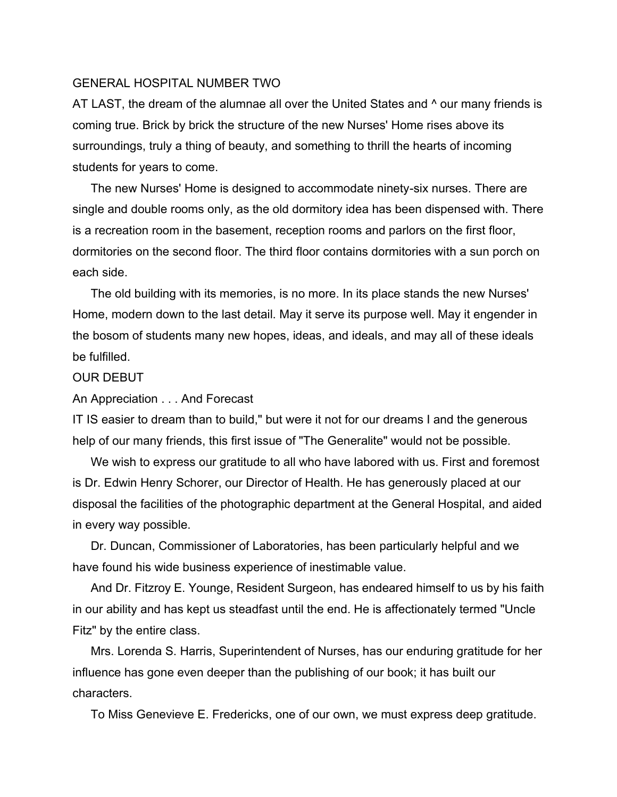## GENERAL HOSPITAL NUMBER TWO

AT LAST, the dream of the alumnae all over the United States and  $\land$  our many friends is coming true. Brick by brick the structure of the new Nurses' Home rises above its surroundings, truly a thing of beauty, and something to thrill the hearts of incoming students for years to come.

The new Nurses' Home is designed to accommodate ninety-six nurses. There are single and double rooms only, as the old dormitory idea has been dispensed with. There is a recreation room in the basement, reception rooms and parlors on the first floor, dormitories on the second floor. The third floor contains dormitories with a sun porch on each side.

The old building with its memories, is no more. In its place stands the new Nurses' Home, modern down to the last detail. May it serve its purpose well. May it engender in the bosom of students many new hopes, ideas, and ideals, and may all of these ideals be fulfilled.

### OUR DEBUT

An Appreciation . . . And Forecast

IT IS easier to dream than to build," but were it not for our dreams I and the generous help of our many friends, this first issue of "The Generalite" would not be possible.

We wish to express our gratitude to all who have labored with us. First and foremost is Dr. Edwin Henry Schorer, our Director of Health. He has generously placed at our disposal the facilities of the photographic department at the General Hospital, and aided in every way possible.

Dr. Duncan, Commissioner of Laboratories, has been particularly helpful and we have found his wide business experience of inestimable value.

And Dr. Fitzroy E. Younge, Resident Surgeon, has endeared himself to us by his faith in our ability and has kept us steadfast until the end. He is affectionately termed "Uncle Fitz" by the entire class.

Mrs. Lorenda S. Harris, Superintendent of Nurses, has our enduring gratitude for her influence has gone even deeper than the publishing of our book; it has built our characters.

To Miss Genevieve E. Fredericks, one of our own, we must express deep gratitude.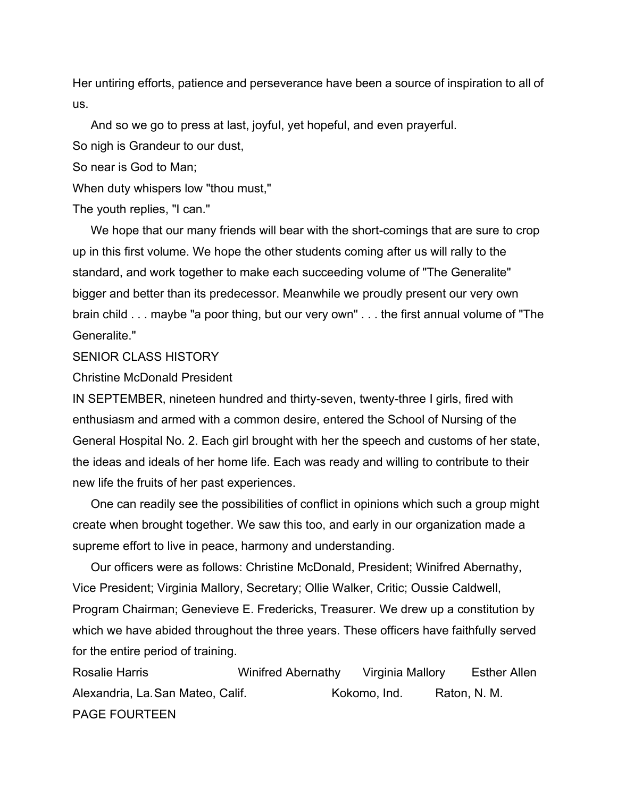Her untiring efforts, patience and perseverance have been a source of inspiration to all of us.

And so we go to press at last, joyful, yet hopeful, and even prayerful.

So nigh is Grandeur to our dust,

So near is God to Man;

When duty whispers low "thou must,"

The youth replies, "I can."

We hope that our many friends will bear with the short-comings that are sure to crop up in this first volume. We hope the other students coming after us will rally to the standard, and work together to make each succeeding volume of "The Generalite" bigger and better than its predecessor. Meanwhile we proudly present our very own brain child . . . maybe "a poor thing, but our very own" . . . the first annual volume of "The Generalite."

### SENIOR CLASS HISTORY

Christine McDonald President

IN SEPTEMBER, nineteen hundred and thirty-seven, twenty-three I girls, fired with enthusiasm and armed with a common desire, entered the School of Nursing of the General Hospital No. 2. Each girl brought with her the speech and customs of her state, the ideas and ideals of her home life. Each was ready and willing to contribute to their new life the fruits of her past experiences.

One can readily see the possibilities of conflict in opinions which such a group might create when brought together. We saw this too, and early in our organization made a supreme effort to live in peace, harmony and understanding.

Our officers were as follows: Christine McDonald, President; Winifred Abernathy, Vice President; Virginia Mallory, Secretary; Ollie Walker, Critic; Oussie Caldwell, Program Chairman; Genevieve E. Fredericks, Treasurer. We drew up a constitution by which we have abided throughout the three years. These officers have faithfully served for the entire period of training.

Rosalie Harris Winifred Abernathy Virginia Mallory Esther Allen Alexandria, La.San Mateo, Calif. (a) Morto Kokomo, Ind. (Katon, N. M.) PAGE FOURTEEN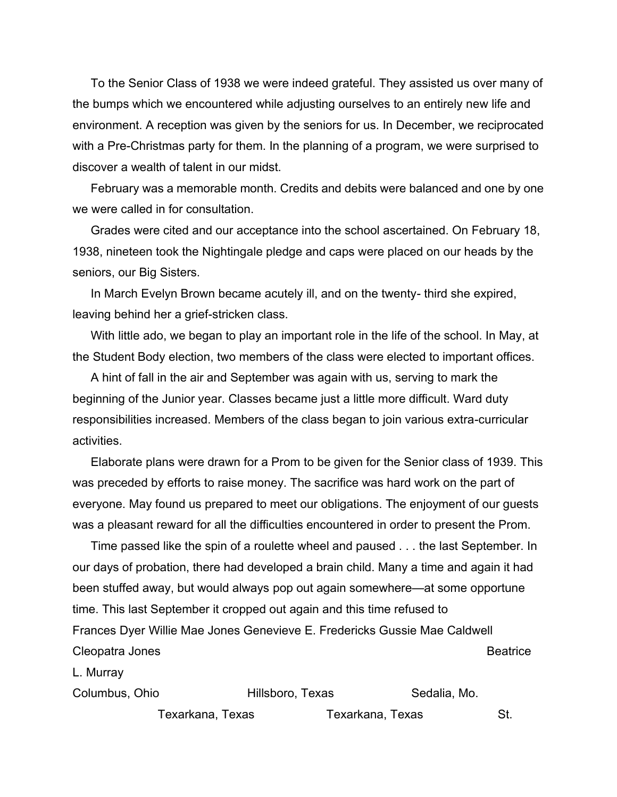To the Senior Class of 1938 we were indeed grateful. They assisted us over many of the bumps which we encountered while adjusting ourselves to an entirely new life and environment. A reception was given by the seniors for us. In December, we reciprocated with a Pre-Christmas party for them. In the planning of a program, we were surprised to discover a wealth of talent in our midst.

February was a memorable month. Credits and debits were balanced and one by one we were called in for consultation.

Grades were cited and our acceptance into the school ascertained. On February 18, 1938, nineteen took the Nightingale pledge and caps were placed on our heads by the seniors, our Big Sisters.

In March Evelyn Brown became acutely ill, and on the twenty- third she expired, leaving behind her a grief-stricken class.

With little ado, we began to play an important role in the life of the school. In May, at the Student Body election, two members of the class were elected to important offices.

A hint of fall in the air and September was again with us, serving to mark the beginning of the Junior year. Classes became just a little more difficult. Ward duty responsibilities increased. Members of the class began to join various extra-curricular activities.

Elaborate plans were drawn for a Prom to be given for the Senior class of 1939. This was preceded by efforts to raise money. The sacrifice was hard work on the part of everyone. May found us prepared to meet our obligations. The enjoyment of our guests was a pleasant reward for all the difficulties encountered in order to present the Prom.

Time passed like the spin of a roulette wheel and paused . . . the last September. In our days of probation, there had developed a brain child. Many a time and again it had been stuffed away, but would always pop out again somewhere—at some opportune time. This last September it cropped out again and this time refused to Frances Dyer Willie Mae Jones Genevieve E. Fredericks Gussie Mae Caldwell Cleopatra Jones **Beatrice** 

L. Murray

| Columbus, Ohio   |  | Hillsboro, Texas |  |  |
|------------------|--|------------------|--|--|
| Texarkana, Texas |  | Texarkana, Texas |  |  |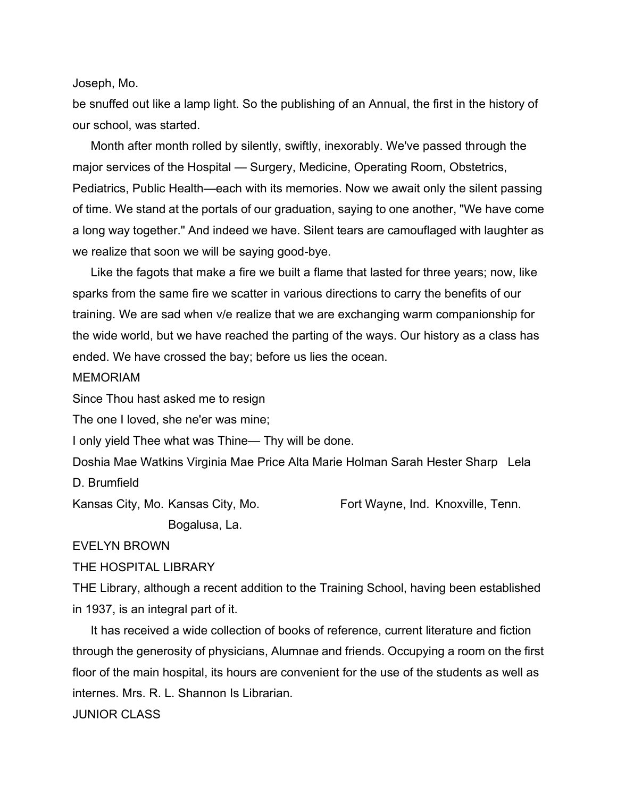Joseph, Mo.

be snuffed out like a lamp light. So the publishing of an Annual, the first in the history of our school, was started.

Month after month rolled by silently, swiftly, inexorably. We've passed through the major services of the Hospital — Surgery, Medicine, Operating Room, Obstetrics, Pediatrics, Public Health—each with its memories. Now we await only the silent passing of time. We stand at the portals of our graduation, saying to one another, "We have come a long way together." And indeed we have. Silent tears are camouflaged with laughter as we realize that soon we will be saying good-bye.

Like the fagots that make a fire we built a flame that lasted for three years; now, like sparks from the same fire we scatter in various directions to carry the benefits of our training. We are sad when v/e realize that we are exchanging warm companionship for the wide world, but we have reached the parting of the ways. Our history as a class has ended. We have crossed the bay; before us lies the ocean.

### MEMORIAM

Since Thou hast asked me to resign

The one I loved, she ne'er was mine;

I only yield Thee what was Thine— Thy will be done.

Doshia Mae Watkins Virginia Mae Price Alta Marie Holman Sarah Hester Sharp Lela D. Brumfield

Kansas City, Mo. Kansas City, Mo. **Fort Wayne, Ind. Knoxville, Tenn.** 

Bogalusa, La.

EVELYN BROWN

THE HOSPITAL LIBRARY

THE Library, although a recent addition to the Training School, having been established in 1937, is an integral part of it.

It has received a wide collection of books of reference, current literature and fiction through the generosity of physicians, Alumnae and friends. Occupying a room on the first floor of the main hospital, its hours are convenient for the use of the students as well as internes. Mrs. R. L. Shannon Is Librarian.

JUNIOR CLASS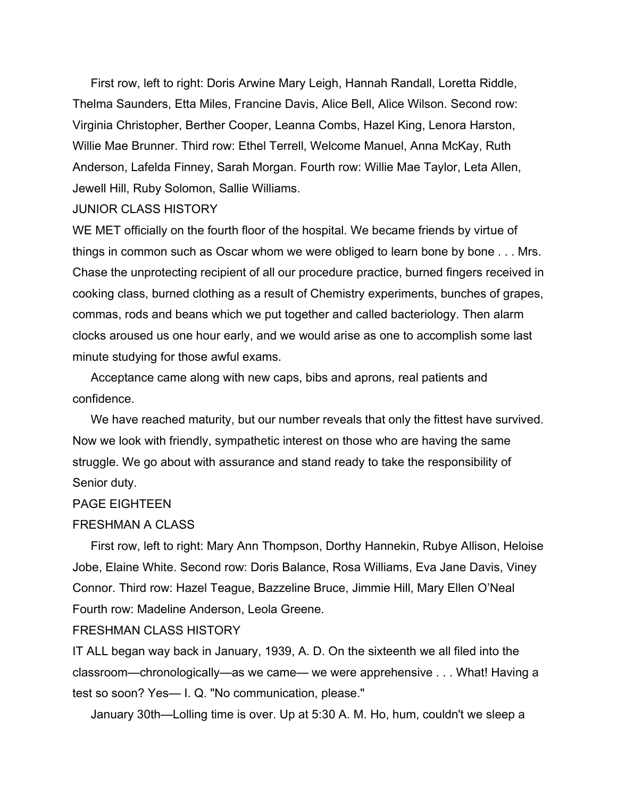First row, left to right: Doris Arwine Mary Leigh, Hannah Randall, Loretta Riddle, Thelma Saunders, Etta Miles, Francine Davis, Alice Bell, Alice Wilson. Second row: Virginia Christopher, Berther Cooper, Leanna Combs, Hazel King, Lenora Harston, Willie Mae Brunner. Third row: Ethel Terrell, Welcome Manuel, Anna McKay, Ruth Anderson, Lafelda Finney, Sarah Morgan. Fourth row: Willie Mae Taylor, Leta Allen, Jewell Hill, Ruby Solomon, Sallie Williams.

### JUNIOR CLASS HISTORY

WE MET officially on the fourth floor of the hospital. We became friends by virtue of things in common such as Oscar whom we were obliged to learn bone by bone . . . Mrs. Chase the unprotecting recipient of all our procedure practice, burned fingers received in cooking class, burned clothing as a result of Chemistry experiments, bunches of grapes, commas, rods and beans which we put together and called bacteriology. Then alarm clocks aroused us one hour early, and we would arise as one to accomplish some last minute studying for those awful exams.

Acceptance came along with new caps, bibs and aprons, real patients and confidence.

We have reached maturity, but our number reveals that only the fittest have survived. Now we look with friendly, sympathetic interest on those who are having the same struggle. We go about with assurance and stand ready to take the responsibility of Senior duty.

#### PAGE EIGHTEEN

#### FRESHMAN A CLASS

First row, left to right: Mary Ann Thompson, Dorthy Hannekin, Rubye Allison, Heloise Jobe, Elaine White. Second row: Doris Balance, Rosa Williams, Eva Jane Davis, Viney Connor. Third row: Hazel Teague, Bazzeline Bruce, Jimmie Hill, Mary Ellen O'Neal Fourth row: Madeline Anderson, Leola Greene.

## FRESHMAN CLASS HISTORY

IT ALL began way back in January, 1939, A. D. On the sixteenth we all filed into the classroom—chronologically—as we came— we were apprehensive . . . What! Having a test so soon? Yes— I. Q. "No communication, please."

January 30th—Lolling time is over. Up at 5:30 A. M. Ho, hum, couldn't we sleep a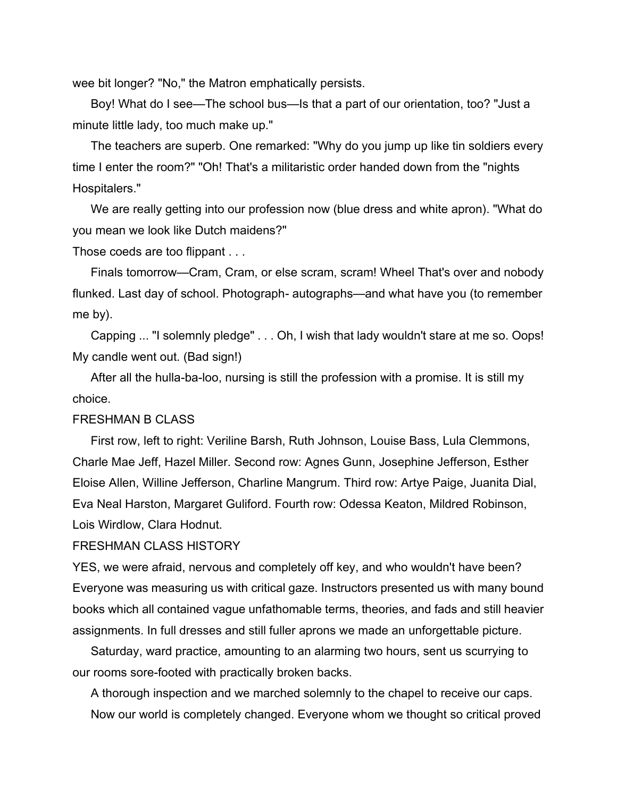wee bit longer? "No," the Matron emphatically persists.

Boy! What do I see—The school bus—Is that a part of our orientation, too? "Just a minute little lady, too much make up."

The teachers are superb. One remarked: "Why do you jump up like tin soldiers every time I enter the room?" "Oh! That's a militaristic order handed down from the "nights Hospitalers."

We are really getting into our profession now (blue dress and white apron). "What do you mean we look like Dutch maidens?"

Those coeds are too flippant . . .

Finals tomorrow—Cram, Cram, or else scram, scram! Wheel That's over and nobody flunked. Last day of school. Photograph- autographs—and what have you (to remember me by).

Capping ... "I solemnly pledge" . . . Oh, I wish that lady wouldn't stare at me so. Oops! My candle went out. (Bad sign!)

After all the hulla-ba-loo, nursing is still the profession with a promise. It is still my choice.

### FRESHMAN B CLASS

First row, left to right: Veriline Barsh, Ruth Johnson, Louise Bass, Lula Clemmons, Charle Mae Jeff, Hazel Miller. Second row: Agnes Gunn, Josephine Jefferson, Esther Eloise Allen, Willine Jefferson, Charline Mangrum. Third row: Artye Paige, Juanita Dial, Eva Neal Harston, Margaret Guliford. Fourth row: Odessa Keaton, Mildred Robinson, Lois Wirdlow, Clara Hodnut.

#### FRESHMAN CLASS HISTORY

YES, we were afraid, nervous and completely off key, and who wouldn't have been? Everyone was measuring us with critical gaze. Instructors presented us with many bound books which all contained vague unfathomable terms, theories, and fads and still heavier assignments. In full dresses and still fuller aprons we made an unforgettable picture.

Saturday, ward practice, amounting to an alarming two hours, sent us scurrying to our rooms sore-footed with practically broken backs.

A thorough inspection and we marched solemnly to the chapel to receive our caps. Now our world is completely changed. Everyone whom we thought so critical proved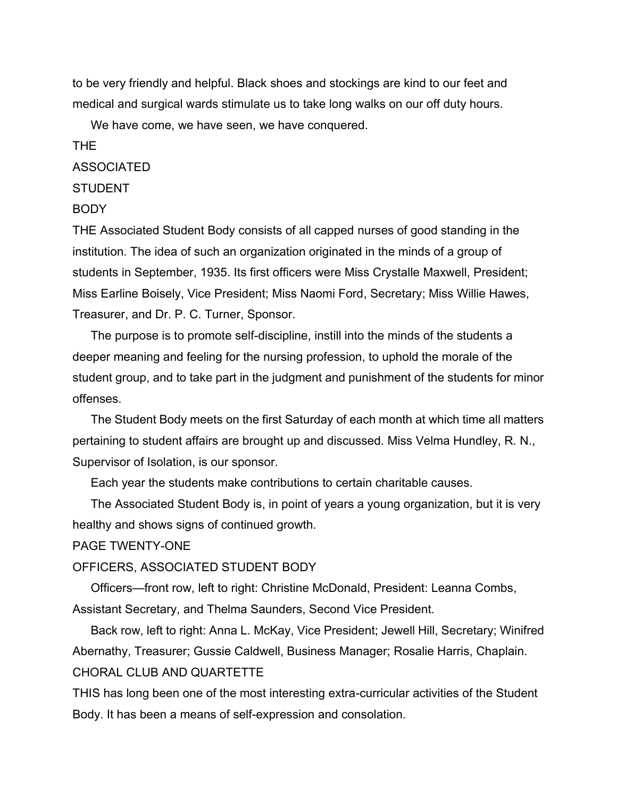to be very friendly and helpful. Black shoes and stockings are kind to our feet and medical and surgical wards stimulate us to take long walks on our off duty hours.

We have come, we have seen, we have conquered.

## THE

## ASSOCIATED

# **STUDENT**

## BODY

THE Associated Student Body consists of all capped nurses of good standing in the institution. The idea of such an organization originated in the minds of a group of students in September, 1935. Its first officers were Miss Crystalle Maxwell, President; Miss Earline Boisely, Vice President; Miss Naomi Ford, Secretary; Miss Willie Hawes, Treasurer, and Dr. P. C. Turner, Sponsor.

The purpose is to promote self-discipline, instill into the minds of the students a deeper meaning and feeling for the nursing profession, to uphold the morale of the student group, and to take part in the judgment and punishment of the students for minor offenses.

The Student Body meets on the first Saturday of each month at which time all matters pertaining to student affairs are brought up and discussed. Miss Velma Hundley, R. N., Supervisor of Isolation, is our sponsor.

Each year the students make contributions to certain charitable causes.

The Associated Student Body is, in point of years a young organization, but it is very healthy and shows signs of continued growth.

## PAGE TWENTY-ONE

## OFFICERS, ASSOCIATED STUDENT BODY

Officers—front row, left to right: Christine McDonald, President: Leanna Combs, Assistant Secretary, and Thelma Saunders, Second Vice President.

Back row, left to right: Anna L. McKay, Vice President; Jewell Hill, Secretary; Winifred Abernathy, Treasurer; Gussie Caldwell, Business Manager; Rosalie Harris, Chaplain. CHORAL CLUB AND QUARTETTE

THIS has long been one of the most interesting extra-curricular activities of the Student Body. It has been a means of self-expression and consolation.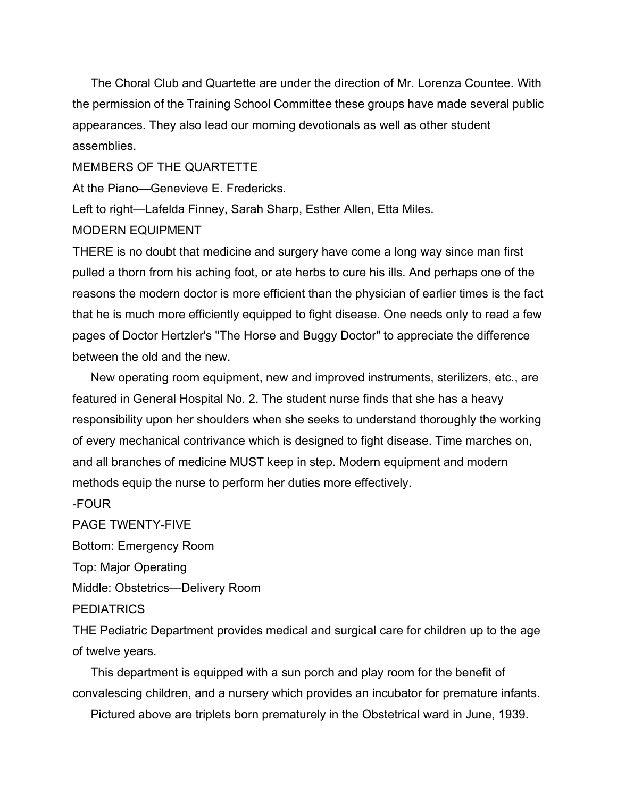The Choral Club and Quartette are under the direction of Mr. Lorenza Countee. With the permission of the Training School Committee these groups have made several public appearances. They also lead our morning devotionals as well as other student assemblies.

# MEMBERS OF THE QUARTETTE

At the Piano—Genevieve E. Fredericks.

Left to right—Lafelda Finney, Sarah Sharp, Esther Allen, Etta Miles. MODERN EQUIPMENT

THERE is no doubt that medicine and surgery have come a long way since man first pulled a thorn from his aching foot, or ate herbs to cure his ills. And perhaps one of the reasons the modern doctor is more efficient than the physician of earlier times is the fact that he is much more efficiently equipped to fight disease. One needs only to read a few pages of Doctor Hertzler's "The Horse and Buggy Doctor" to appreciate the difference between the old and the new.

New operating room equipment, new and improved instruments, sterilizers, etc., are featured in General Hospital No. 2. The student nurse finds that she has a heavy responsibility upon her shoulders when she seeks to understand thoroughly the working of every mechanical contrivance which is designed to fight disease. Time marches on, and all branches of medicine MUST keep in step. Modern equipment and modern methods equip the nurse to perform her duties more effectively.

-FOUR

PAGE TWENTY-FIVE Bottom: Emergency Room Top: Major Operating Middle: Obstetrics—Delivery Room **PEDIATRICS** 

THE Pediatric Department provides medical and surgical care for children up to the age of twelve years.

This department is equipped with a sun porch and play room for the benefit of convalescing children, and a nursery which provides an incubator for premature infants.

Pictured above are triplets born prematurely in the Obstetrical ward in June, 1939.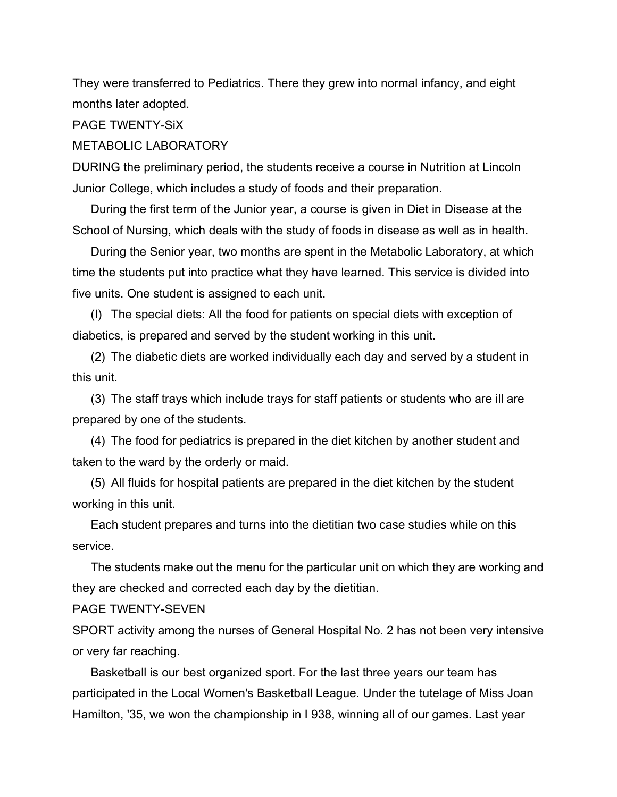They were transferred to Pediatrics. There they grew into normal infancy, and eight months later adopted.

PAGE TWENTY-SiX

### METABOLIC LABORATORY

DURING the preliminary period, the students receive a course in Nutrition at Lincoln Junior College, which includes a study of foods and their preparation.

During the first term of the Junior year, a course is given in Diet in Disease at the School of Nursing, which deals with the study of foods in disease as well as in health.

During the Senior year, two months are spent in the Metabolic Laboratory, at which time the students put into practice what they have learned. This service is divided into five units. One student is assigned to each unit.

(I) The special diets: All the food for patients on special diets with exception of diabetics, is prepared and served by the student working in this unit.

(2) The diabetic diets are worked individually each day and served by a student in this unit.

(3) The staff trays which include trays for staff patients or students who are ill are prepared by one of the students.

(4) The food for pediatrics is prepared in the diet kitchen by another student and taken to the ward by the orderly or maid.

(5) All fluids for hospital patients are prepared in the diet kitchen by the student working in this unit.

Each student prepares and turns into the dietitian two case studies while on this service.

The students make out the menu for the particular unit on which they are working and they are checked and corrected each day by the dietitian.

#### PAGE TWENTY-SEVEN

SPORT activity among the nurses of General Hospital No. 2 has not been very intensive or very far reaching.

Basketball is our best organized sport. For the last three years our team has participated in the Local Women's Basketball League. Under the tutelage of Miss Joan Hamilton, '35, we won the championship in I 938, winning all of our games. Last year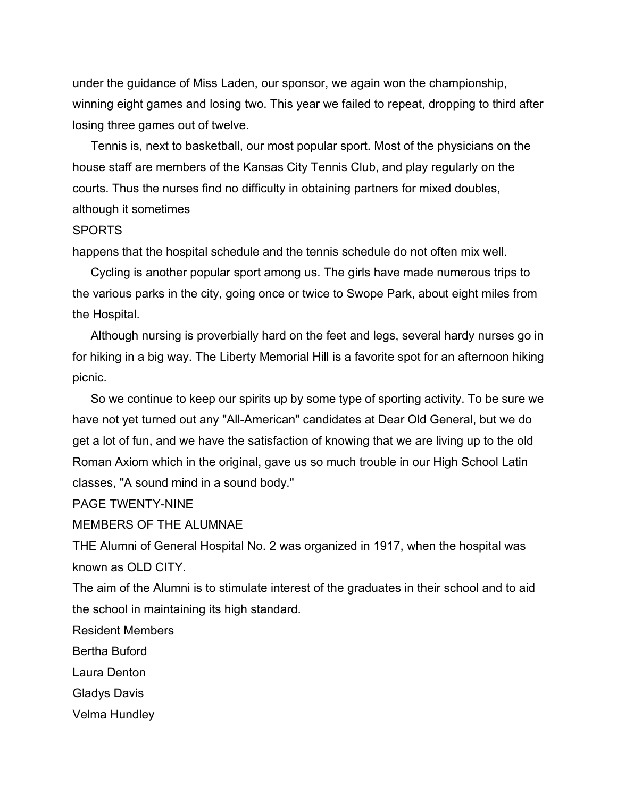under the guidance of Miss Laden, our sponsor, we again won the championship, winning eight games and losing two. This year we failed to repeat, dropping to third after losing three games out of twelve.

Tennis is, next to basketball, our most popular sport. Most of the physicians on the house staff are members of the Kansas City Tennis Club, and play regularly on the courts. Thus the nurses find no difficulty in obtaining partners for mixed doubles, although it sometimes

## SPORTS

happens that the hospital schedule and the tennis schedule do not often mix well.

Cycling is another popular sport among us. The girls have made numerous trips to the various parks in the city, going once or twice to Swope Park, about eight miles from the Hospital.

Although nursing is proverbially hard on the feet and legs, several hardy nurses go in for hiking in a big way. The Liberty Memorial Hill is a favorite spot for an afternoon hiking picnic.

So we continue to keep our spirits up by some type of sporting activity. To be sure we have not yet turned out any "All-American" candidates at Dear Old General, but we do get a lot of fun, and we have the satisfaction of knowing that we are living up to the old Roman Axiom which in the original, gave us so much trouble in our High School Latin classes, "A sound mind in a sound body."

PAGE TWENTY-NINE

MEMBERS OF THE ALUMNAE

THE Alumni of General Hospital No. 2 was organized in 1917, when the hospital was known as OLD CITY.

The aim of the Alumni is to stimulate interest of the graduates in their school and to aid the school in maintaining its high standard.

Resident Members

Bertha Buford

Laura Denton

Gladys Davis

Velma Hundley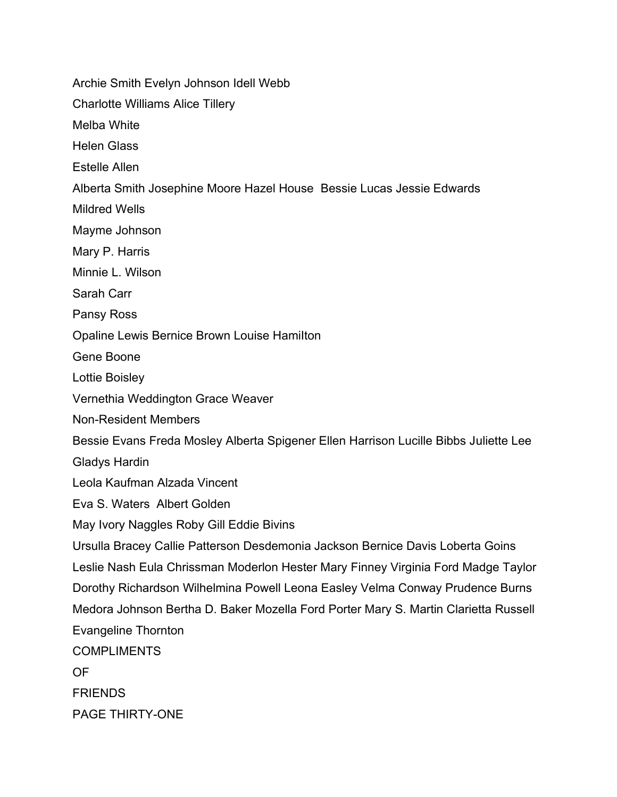Archie Smith Evelyn Johnson Idell Webb

Charlotte Williams Alice Tillery

Melba White

Helen Glass

Estelle Allen

Alberta Smith Josephine Moore Hazel House Bessie Lucas Jessie Edwards

Mildred Wells

Mayme Johnson

Mary P. Harris

Minnie L. Wilson

Sarah Carr

Pansy Ross

Opaline Lewis Bernice Brown Louise HamiIton

Gene Boone

Lottie Boisley

Vernethia Weddington Grace Weaver

Non-Resident Members

Bessie Evans Freda Mosley Alberta Spigener Ellen Harrison Lucille Bibbs Juliette Lee

Gladys Hardin

Leola Kaufman Alzada Vincent

Eva S. Waters Albert Golden

May Ivory Naggles Roby Gill Eddie Bivins

Ursulla Bracey Callie Patterson Desdemonia Jackson Bernice Davis Loberta Goins Leslie Nash Eula Chrissman Moderlon Hester Mary Finney Virginia Ford Madge Taylor Dorothy Richardson Wilhelmina Powell Leona Easley Velma Conway Prudence Burns Medora Johnson Bertha D. Baker Mozella Ford Porter Mary S. Martin Clarietta Russell Evangeline Thornton **COMPLIMENTS** OF **FRIENDS** 

PAGE THIRTY-ONE